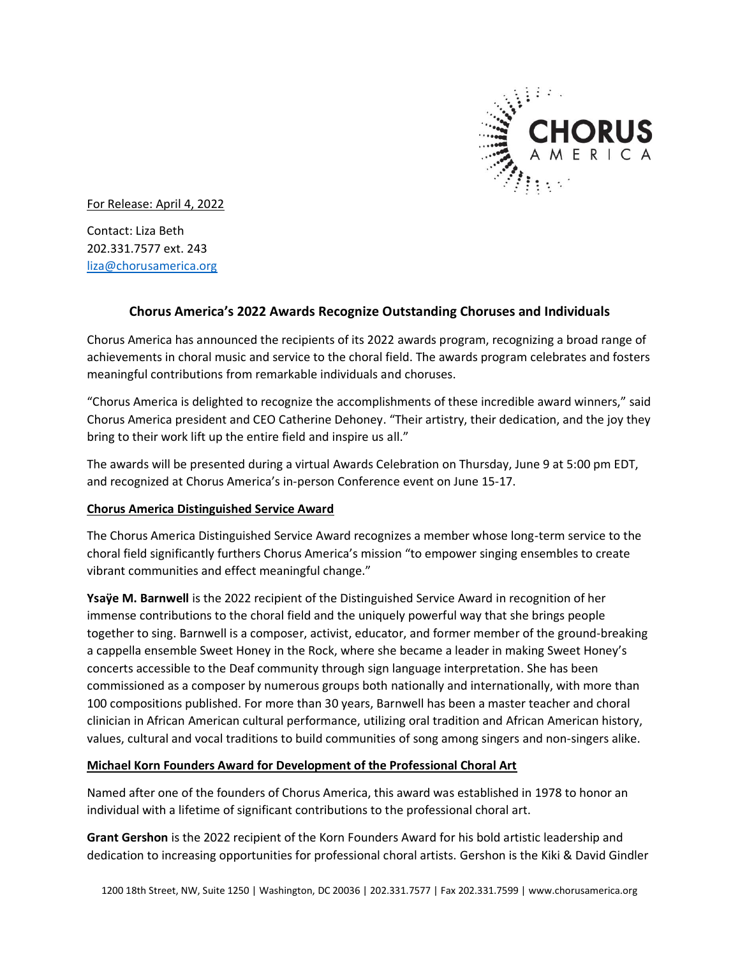

For Release: April 4, 2022

Contact: Liza Beth 202.331.7577 ext. 243 [liza@chorusamerica.org](mailto:liza@chorusamerica.org)

# **Chorus America's 2022 Awards Recognize Outstanding Choruses and Individuals**

Chorus America has announced the recipients of its 2022 awards program, recognizing a broad range of achievements in choral music and service to the choral field. The awards program celebrates and fosters meaningful contributions from remarkable individuals and choruses.

"Chorus America is delighted to recognize the accomplishments of these incredible award winners," said Chorus America president and CEO Catherine Dehoney. "Their artistry, their dedication, and the joy they bring to their work lift up the entire field and inspire us all."

The awards will be presented during a virtual Awards Celebration on Thursday, June 9 at 5:00 pm EDT, and recognized at Chorus America's in-person Conference event on June 15-17.

## **Chorus America Distinguished Service Award**

The Chorus America Distinguished Service Award recognizes a member whose long-term service to the choral field significantly furthers Chorus America's mission "to empower singing ensembles to create vibrant communities and effect meaningful change."

**Ysaӱe M. Barnwell** is the 2022 recipient of the Distinguished Service Award in recognition of her immense contributions to the choral field and the uniquely powerful way that she brings people together to sing. Barnwell is a composer, activist, educator, and former member of the ground-breaking a cappella ensemble Sweet Honey in the Rock, where she became a leader in making Sweet Honey's concerts accessible to the Deaf community through sign language interpretation. She has been commissioned as a composer by numerous groups both nationally and internationally, with more than 100 compositions published. For more than 30 years, Barnwell has been a master teacher and choral clinician in African American cultural performance, utilizing oral tradition and African American history, values, cultural and vocal traditions to build communities of song among singers and non-singers alike.

## **Michael Korn Founders Award for Development of the Professional Choral Art**

Named after one of the founders of Chorus America, this award was established in 1978 to honor an individual with a lifetime of significant contributions to the professional choral art.

**Grant Gershon** is the 2022 recipient of the Korn Founders Award for his bold artistic leadership and dedication to increasing opportunities for professional choral artists. Gershon is the Kiki & David Gindler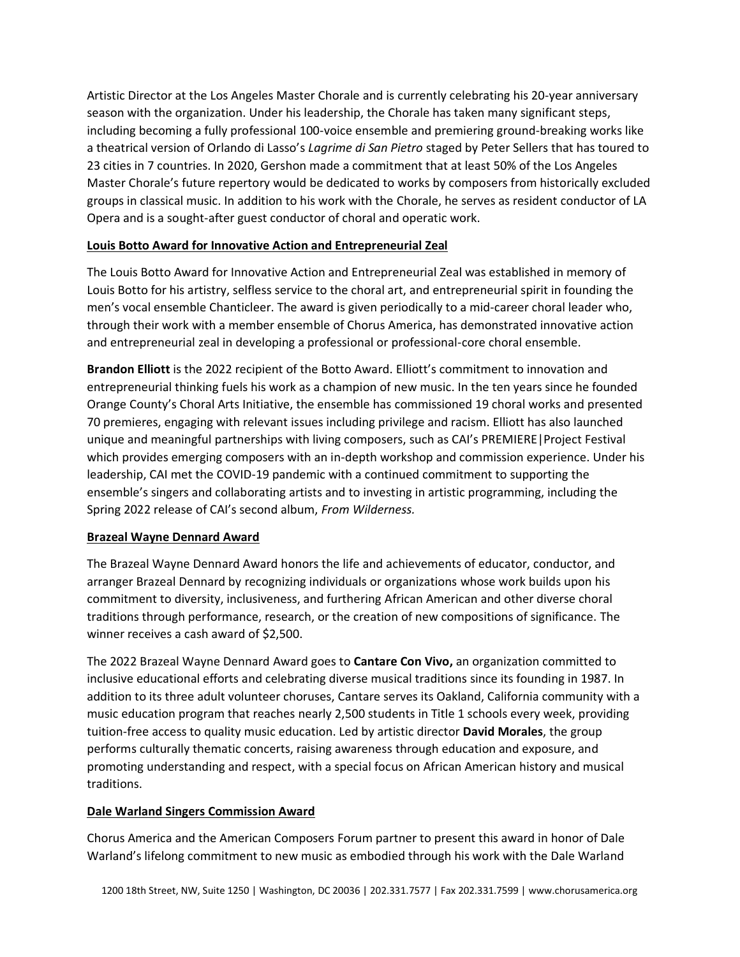Artistic Director at the Los Angeles Master Chorale and is currently celebrating his 20-year anniversary season with the organization. Under his leadership, the Chorale has taken many significant steps, including becoming a fully professional 100-voice ensemble and premiering ground-breaking works like a theatrical version of Orlando di Lasso's *Lagrime di San Pietro* staged by Peter Sellers that has toured to 23 cities in 7 countries. In 2020, Gershon made a commitment that at least 50% of the Los Angeles Master Chorale's future repertory would be dedicated to works by composers from historically excluded groups in classical music. In addition to his work with the Chorale, he serves as resident conductor of LA Opera and is a sought-after guest conductor of choral and operatic work.

## **Louis Botto Award for Innovative Action and Entrepreneurial Zeal**

The Louis Botto Award for Innovative Action and Entrepreneurial Zeal was established in memory of Louis Botto for his artistry, selfless service to the choral art, and entrepreneurial spirit in founding the men's vocal ensemble Chanticleer. The award is given periodically to a mid-career choral leader who, through their work with a member ensemble of Chorus America, has demonstrated innovative action and entrepreneurial zeal in developing a professional or professional-core choral ensemble.

**Brandon Elliott** is the 2022 recipient of the Botto Award. Elliott's commitment to innovation and entrepreneurial thinking fuels his work as a champion of new music. In the ten years since he founded Orange County's Choral Arts Initiative, the ensemble has commissioned 19 choral works and presented 70 premieres, engaging with relevant issues including privilege and racism. Elliott has also launched unique and meaningful partnerships with living composers, such as CAI's PREMIERE|Project Festival which provides emerging composers with an in-depth workshop and commission experience. Under his leadership, CAI met the COVID-19 pandemic with a continued commitment to supporting the ensemble's singers and collaborating artists and to investing in artistic programming, including the Spring 2022 release of CAI's second album, *From Wilderness.*

## **Brazeal Wayne Dennard Award**

The Brazeal Wayne Dennard Award honors the life and achievements of educator, conductor, and arranger Brazeal Dennard by recognizing individuals or organizations whose work builds upon his commitment to diversity, inclusiveness, and furthering African American and other diverse choral traditions through performance, research, or the creation of new compositions of significance. The winner receives a cash award of \$2,500.

The 2022 Brazeal Wayne Dennard Award goes to **Cantare Con Vivo,** an organization committed to inclusive educational efforts and celebrating diverse musical traditions since its founding in 1987. In addition to its three adult volunteer choruses, Cantare serves its Oakland, California community with a music education program that reaches nearly 2,500 students in Title 1 schools every week, providing tuition-free access to quality music education. Led by artistic director **David Morales**, the group performs culturally thematic concerts, raising awareness through education and exposure, and promoting understanding and respect, with a special focus on African American history and musical traditions.

# **Dale Warland Singers Commission Award**

Chorus America and the American Composers Forum partner to present this award in honor of Dale Warland's lifelong commitment to new music as embodied through his work with the Dale Warland